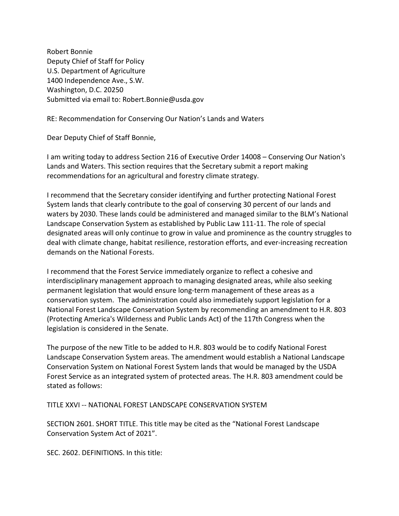Robert Bonnie Deputy Chief of Staff for Policy U.S. Department of Agriculture 1400 Independence Ave., S.W. Washington, D.C. 20250 Submitted via email to: Robert.Bonnie@usda.gov

RE: Recommendation for Conserving Our Nation's Lands and Waters

Dear Deputy Chief of Staff Bonnie,

I am writing today to address Section 216 of Executive Order 14008 – Conserving Our Nation's Lands and Waters. This section requires that the Secretary submit a report making recommendations for an agricultural and forestry climate strategy.

I recommend that the Secretary consider identifying and further protecting National Forest System lands that clearly contribute to the goal of conserving 30 percent of our lands and waters by 2030. These lands could be administered and managed similar to the BLM's National Landscape Conservation System as established by Public Law 111-11. The role of special designated areas will only continue to grow in value and prominence as the country struggles to deal with climate change, habitat resilience, restoration efforts, and ever-increasing recreation demands on the National Forests.

I recommend that the Forest Service immediately organize to reflect a cohesive and interdisciplinary management approach to managing designated areas, while also seeking permanent legislation that would ensure long-term management of these areas as a conservation system. The administration could also immediately support legislation for a National Forest Landscape Conservation System by recommending an amendment to H.R. 803 (Protecting America's Wilderness and Public Lands Act) of the 117th Congress when the legislation is considered in the Senate.

The purpose of the new Title to be added to H.R. 803 would be to codify National Forest Landscape Conservation System areas. The amendment would establish a National Landscape Conservation System on National Forest System lands that would be managed by the USDA Forest Service as an integrated system of protected areas. The H.R. 803 amendment could be stated as follows:

TITLE XXVI -- NATIONAL FOREST LANDSCAPE CONSERVATION SYSTEM

SECTION 2601. SHORT TITLE. This title may be cited as the "National Forest Landscape Conservation System Act of 2021".

SEC. 2602. DEFINITIONS. In this title: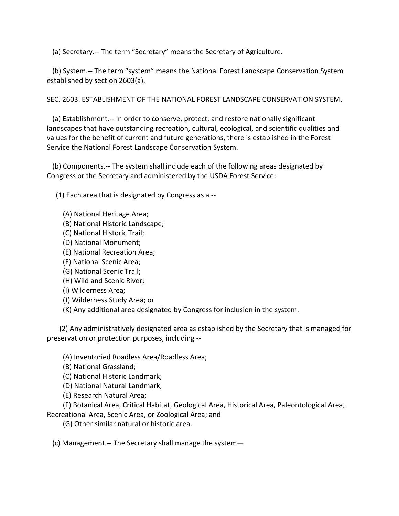(a) Secretary.-- The term "Secretary" means the Secretary of Agriculture.

 (b) System.-- The term "system" means the National Forest Landscape Conservation System established by section 2603(a).

SEC. 2603. ESTABLISHMENT OF THE NATIONAL FOREST LANDSCAPE CONSERVATION SYSTEM.

 (a) Establishment.-- In order to conserve, protect, and restore nationally significant landscapes that have outstanding recreation, cultural, ecological, and scientific qualities and values for the benefit of current and future generations, there is established in the Forest Service the National Forest Landscape Conservation System.

 (b) Components.-- The system shall include each of the following areas designated by Congress or the Secretary and administered by the USDA Forest Service:

(1) Each area that is designated by Congress as a --

- (A) National Heritage Area;
- (B) National Historic Landscape;
- (C) National Historic Trail;
- (D) National Monument;
- (E) National Recreation Area;
- (F) National Scenic Area;
- (G) National Scenic Trail;
- (H) Wild and Scenic River;
- (I) Wilderness Area;
- (J) Wilderness Study Area; or
- (K) Any additional area designated by Congress for inclusion in the system.

 (2) Any administratively designated area as established by the Secretary that is managed for preservation or protection purposes, including --

(A) Inventoried Roadless Area/Roadless Area;

- (B) National Grassland;
- (C) National Historic Landmark;
- (D) National Natural Landmark;
- (E) Research Natural Area;

 (F) Botanical Area, Critical Habitat, Geological Area, Historical Area, Paleontological Area, Recreational Area, Scenic Area, or Zoological Area; and

(G) Other similar natural or historic area.

(c) Management.-- The Secretary shall manage the system—